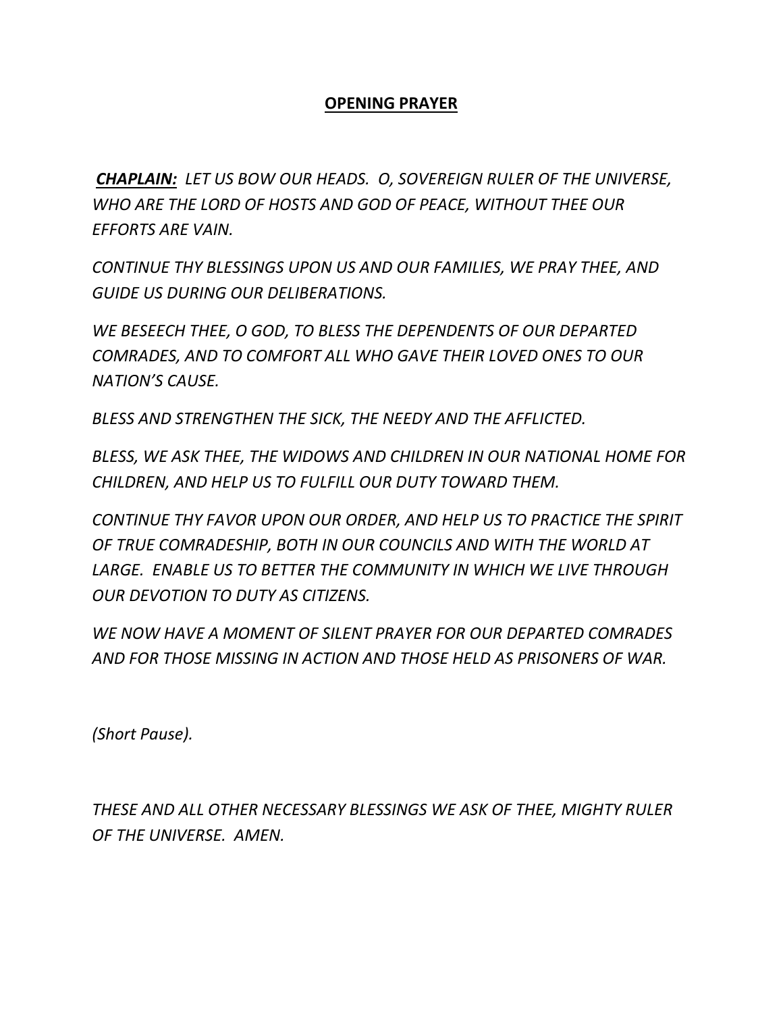## **OPENING PRAYER**

*CHAPLAIN: LET US BOW OUR HEADS. O, SOVEREIGN RULER OF THE UNIVERSE, WHO ARE THE LORD OF HOSTS AND GOD OF PEACE, WITHOUT THEE OUR EFFORTS ARE VAIN.* 

*CONTINUE THY BLESSINGS UPON US AND OUR FAMILIES, WE PRAY THEE, AND GUIDE US DURING OUR DELIBERATIONS.* 

*WE BESEECH THEE, O GOD, TO BLESS THE DEPENDENTS OF OUR DEPARTED COMRADES, AND TO COMFORT ALL WHO GAVE THEIR LOVED ONES TO OUR NATION'S CAUSE.* 

*BLESS AND STRENGTHEN THE SICK, THE NEEDY AND THE AFFLICTED.*

*BLESS, WE ASK THEE, THE WIDOWS AND CHILDREN IN OUR NATIONAL HOME FOR CHILDREN, AND HELP US TO FULFILL OUR DUTY TOWARD THEM.* 

*CONTINUE THY FAVOR UPON OUR ORDER, AND HELP US TO PRACTICE THE SPIRIT OF TRUE COMRADESHIP, BOTH IN OUR COUNCILS AND WITH THE WORLD AT*  LARGE. ENABLE US TO BETTER THE COMMUNITY IN WHICH WE LIVE THROUGH *OUR DEVOTION TO DUTY AS CITIZENS.* 

*WE NOW HAVE A MOMENT OF SILENT PRAYER FOR OUR DEPARTED COMRADES AND FOR THOSE MISSING IN ACTION AND THOSE HELD AS PRISONERS OF WAR.*

*(Short Pause).* 

*THESE AND ALL OTHER NECESSARY BLESSINGS WE ASK OF THEE, MIGHTY RULER OF THE UNIVERSE. AMEN.*